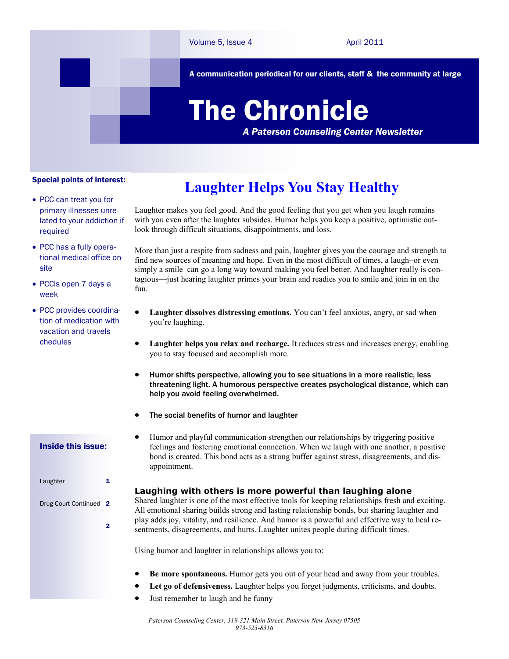A communication periodical for our clients, staff & the community at large

# The Chronicle

*A Paterson Counseling Center Newsletter*

#### Special points of interest:

- PCC can treat you for primary illnesses unrelated to your addiction if required
- PCC has a fully operational medical office onsite
- PCCis open 7 days a week
- PCC provides coordination of medication with vacation and travels chedules

#### Inside this issue:

| Laughter             | 1.  |
|----------------------|-----|
| Drug Court Continued | - 2 |
|                      |     |

## **Laughter Helps You Stay Healthy**

Laughter makes you feel good. And the good feeling that you get when you laugh remains with you even after the laughter subsides. Humor helps you keep a positive, optimistic outlook through difficult situations, disappointments, and loss.

More than just a respite from sadness and pain, laughter gives you the courage and strength to find new sources of meaning and hope. Even in the most difficult of times, a laugh–or even simply a smile–can go a long way toward making you feel better. And laughter really is contagious—just hearing laughter primes your brain and readies you to smile and join in on the fun.

- **Laughter dissolves distressing emotions.** You can't feel anxious, angry, or sad when you're laughing.
- **Laughter helps you relax and recharge.** It reduces stress and increases energy, enabling you to stay focused and accomplish more.
- Humor shifts perspective, allowing you to see situations in a more realistic, less threatening light. A humorous perspective creates psychological distance, which can help you avoid feeling overwhelmed.
- The social benefits of humor and laughter
- Humor and playful communication strengthen our relationships by triggering positive feelings and fostering emotional connection. When we laugh with one another, a positive bond is created. This bond acts as a strong buffer against stress, disagreements, and disappointment.

#### **Laughing with others is more powerful than laughing alone**

Shared laughter is one of the most effective tools for keeping relationships fresh and exciting. All emotional sharing builds strong and lasting relationship bonds, but sharing laughter and play adds joy, vitality, and resilience. And humor is a powerful and effective way to heal resentments, disagreements, and hurts. Laughter unites people during difficult times.

Using humor and laughter in relationships allows you to:

- **Be more spontaneous.** Humor gets you out of your head and away from your troubles.
- **Let go of defensiveness.** Laughter helps you forget judgments, criticisms, and doubts.
- Just remember to laugh and be funny